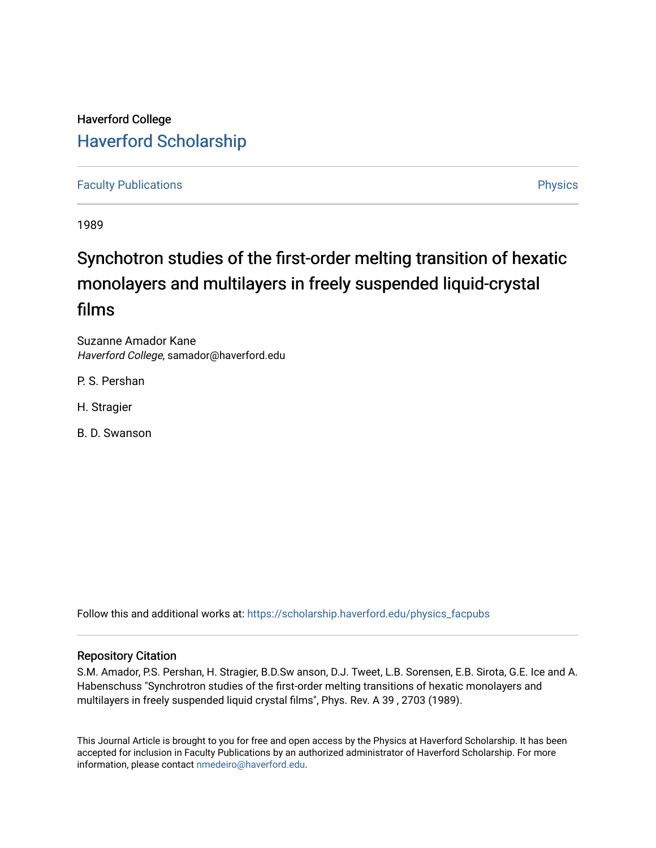## Haverford College [Haverford Scholarship](https://scholarship.haverford.edu/)

## [Faculty Publications](https://scholarship.haverford.edu/physics_facpubs) **Physics**

1989

# Synchotron studies of the first-order melting transition of hexatic monolayers and multilayers in freely suspended liquid-crystal films

Suzanne Amador Kane Haverford College, samador@haverford.edu

P. S. Pershan

H. Stragier

B. D. Swanson

Follow this and additional works at: [https://scholarship.haverford.edu/physics\\_facpubs](https://scholarship.haverford.edu/physics_facpubs?utm_source=scholarship.haverford.edu%2Fphysics_facpubs%2F140&utm_medium=PDF&utm_campaign=PDFCoverPages) 

## Repository Citation

S.M. Amador, P.S. Pershan, H. Stragier, B.D.Sw anson, D.J. Tweet, L.B. Sorensen, E.B. Sirota, G.E. Ice and A. Habenschuss "Synchrotron studies of the first-order melting transitions of hexatic monolayers and multilayers in freely suspended liquid crystal films", Phys. Rev. A 39 , 2703 (1989).

This Journal Article is brought to you for free and open access by the Physics at Haverford Scholarship. It has been accepted for inclusion in Faculty Publications by an authorized administrator of Haverford Scholarship. For more information, please contact [nmedeiro@haverford.edu.](mailto:nmedeiro@haverford.edu)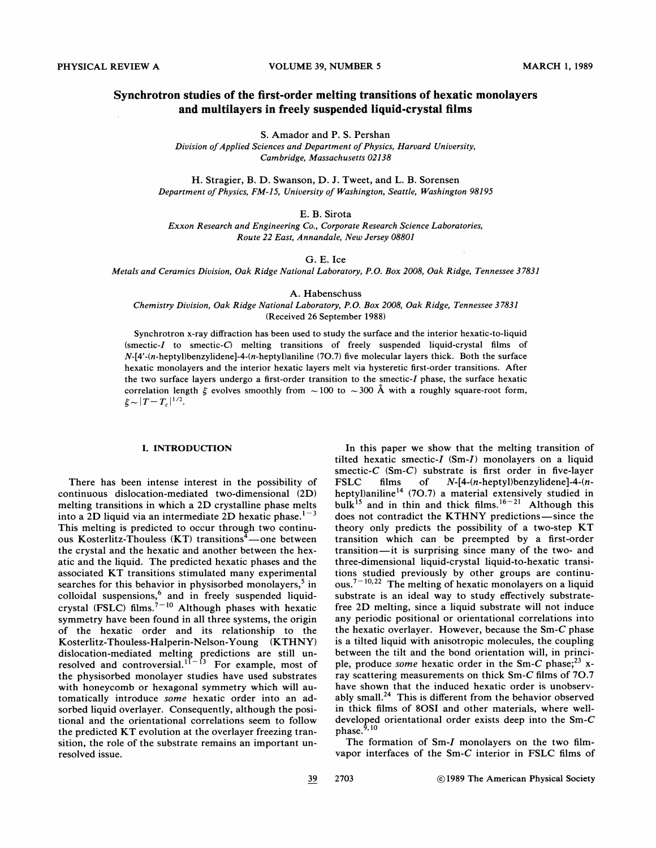## Synchrotron studies of the first-order melting transitions of hexatic monolayers and multilayers in freely suspended liquid-crystal films

S. Amador and P. S. Pershan

Division of Applied Sciences and Department of Physics, Harvard University, Cambridge, Massachusetts 02138

H. Stragier, B.D. Swanson, D. J. Tweet, and L. B. Sorensen Department of Physics, FM-15, University of Washington, Seattle, Washington 98195

E. B. Sirota

Exxon Research and Engineering Co., Corporate Research Science Laboratories, Route 22 East, Annandale, New Jersey 08801

G. E. Ice

Metals and Ceramics Division, Oak Ridge National Laboratory, P.O. Box 2008, Oak Ridge, Tennessee 37831

A. Habenschuss

Chemistry Division, Oak Ridge National Laboratory, P.O. Box 2008, Oak Ridge, Tennessee 37831 (Received 26 September 1988)

Synchrotron x-ray diffraction has been used to study the surface and the interior hexatic-to-liquid (smectic-I to smectic-C) melting transitions of freely suspended liquid-crystal films of  $N-[4'- (n-\text{hepty}])$ benzylidene]-4- $(n-\text{hepty}])$ aniline (70.7) five molecular layers thick. Both the surface hexatic monolayers and the interior hexatic layers melt via hysteretic first-order transitions. After the two surface layers undergo a first-order transition to the smectic-I phase, the surface hexatic correlation length  $\xi$  evolves smoothly from  $\sim 100$  to  $\sim 300$  Å with a roughly square-root form,

#### I. INTRODUCTION

There has been intense interest in the possibility of continuous dislocation-mediated two-dimensional (2D) melting transitions in which a 2D crystalline phase melts into a 2D liquid via an intermediate 2D hexatic phase.  $1-3$ This melting is predicted to occur through two continuous Kosterlitz-Thouless (KT) transitions $4$ —one between the crystal and the hexatic and another between the hexatic and the liquid. The predicted hexatic phases and the associated KT transitions stimulated many experimental searches for this behavior in physisorbed monolayers,<sup>5</sup> in colloidal suspensions,<sup>6</sup> and in freely suspended liquidcrystal (FSLC) films.<sup>7-10</sup> Although phases with hexatic symmetry have been found in all three systems, the origin of the hex atic order and its relationship to the Kosterlitz-Thouless-Halperin-Nelson- Young (KTHNY) dislocation-mediated melting predictions are still undislocation-mediated melting predictions are still unresolved and controversial.<sup>11-13</sup> For example, most of the physisorbed monolayer studies have used substrates with honeycomb or hexagonal symmetry which will automatically introduce some hexatic order into an adsorbed liquid overlayer. Consequently, although the positional and the orientational correlations seem to follow the predicted KT evolution at the overlayer freezing transition, the role of the substrate remains an important unresolved issue.

In this paper we show that the melting transition of tilted hexatic smectic-I (Sm-I) monolayers on a liquid smectic-C (Sm-C) substrate is first order in five-layer<br>FSLC films of  $N-[4-(n-\text{hepty}])$  benzylidene]-4- $(n-\text{epty}])$ FSLC films of N-[4-(n-heptyl)benzylidene]-4-(nheptyl)aniline<sup>14</sup> (70.7) a material extensively studied in bulk<sup>15</sup> and in thin and thick films.<sup>16-21</sup> Although this does not contradict the KTHNY predictions-since the theory only predicts the possibility of a two-step KT transition which can be preempted by a first-order transition —it is surprising since many of the two- and three-dimensional liquid-crystal liquid-to-hexatic transitions studied previously by other groups are continuous.<sup> $7-10,22$ </sup> The melting of hexatic monolayers on a liquid substrate is an ideal way to study effectively substratefree 2D melting, since a liquid substrate will not induce any periodic positional or orientational correlations into the hexatic overlayer. However, because the Sm-C phase is a tilted liquid with anisotropic molecules, the coupling between the tilt and the bond orientation will, in principle, produce some hexatic order in the Sm-C phase;  $2^3$  xray scattering measurements on thick Sm-C films of 70.7 have shown that the induced hexatic order is unobservably small.<sup>24</sup> This is different from the behavior observed in thick films of SOSI and other materials, where welldeveloped orientational order exists deep into the Sm-C phase. '

The formation of Sm-I monolayers on the two filmvapor interfaces of the Sm-C interior in FSLC films of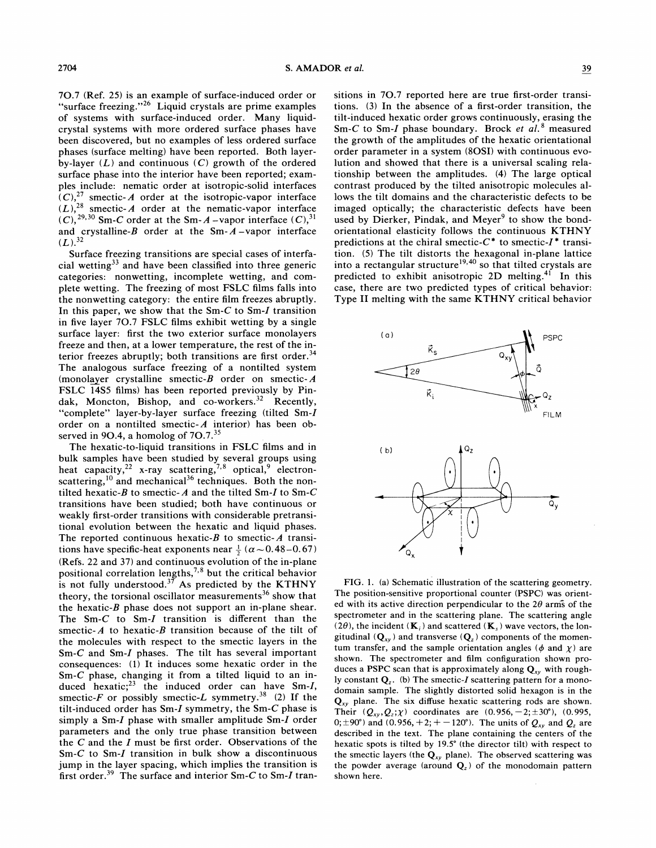7O.7 (Ref. 25) is an example of surface-induced order or "surface freezing."<sup>26</sup> Liquid crystals are prime examples of systems with surface-induced order. Many liquidcrystal systems with more ordered surface phases have been discovered, but no examples of less ordered surface phases (surface melting) have been reported. Both layerby-layer  $(L)$  and continuous  $(C)$  growth of the ordered surface phase into the interior have been reported; examples include: nematic order at isotropic-solid interfaces  $(C)$ ,  $\frac{27}{10}$  smectic-A order at the isotropic-vapor interface  $(L)$ , <sup>28</sup> smectic-A order at the nematic-vapor interface  $(C)$ ,  $^{29,30}$  Sm-C order at the Sm-A-vapor interface  $(C)$ ,  $^{31}$ and crystalline- $B$  order at the Sm- $A$ -vapor interface  $(L).^{32}$ 

Surface freezing transitions are special cases of interfacial wetting<sup>33</sup> and have been classified into three generic categories: nonwetting, incomplete wetting, and complete wetting. The freezing of most FSLC films falls into the nonwetting category: the entire film freezes abruptly. In this paper, we show that the  $Sm-C$  to  $Sm-I$  transition in five layer 70.7 FSLC films exhibit wetting by a single surface layer: first the two exterior surface monolayers freeze and then, at a lower temperature, the rest of the interior freezes abruptly; both transitions are first order.<sup>34</sup> The analogous surface freezing of a nontilted system (monolayer crystalline smectic- $B$  order on smectic- $A$ FSLC 14S5 films) has been reported previously by Pindak, Moncton, Bishop, and  $co\text{-}works.}^{32}$  Recently, "complete" layer-by-layer surface freezing (tilted Sm-I order on a nontilted smectic- $A$  interior) has been observed in 9O.4, a homolog of 7O.7.<sup>35</sup>

The hexatic-to-liquid transitions in FSLC films and in bulk samples have been studied by several groups using heat capacity,  $2^{2}$  x-ray scattering,  $7,8$  optical, electronscattering,  $^{10}$  and mechanical<sup>36</sup> techniques. Both the nontilted hexatic-B to smectic-A and the tilted Sm-I to Sm-C transitions have been studied; both have continuous or weakly first-order transitions with considerable pretransitional evolution between the hexatic and liquid phases. The reported continuous hexatic- $B$  to smectic- $A$  transitions have specific-heat exponents near  $\frac{1}{2}$  ( $\alpha$   $\sim$  0.48 – 0.67) (Refs. 22 and 37) and continuous evolution of the in-plane positional correlation lengths,<sup>7,8</sup> but the critical behavior is not fully understood.<sup>37</sup> As predicted by the KTHNY theory, the torsional oscillator measurements<sup>36</sup> show that the hexatic- $B$  phase does not support an in-plane shear. The  $Sm-C$  to  $Sm-I$  transition is different than the smectic- $A$  to hexatic- $B$  transition because of the tilt of the molecules with respect to the smectic layers in the Sm-C and Sm-I phases. The tilt has several important consequences: (1) It induces some hexatic order in the Sm-C phase, changing it from a tilted liquid to an induced hexatic;<sup>23</sup> the induced order can have Sm-I, smectic-F or possibly smectic-L symmetry.<sup>38</sup> (2) If the tilt-induced order has Sm-I symmetry, the Sm-C phase is simply a Sm-I phase with smaller amplitude Sm-I order parameters and the only true phase transition between the  $C$  and the  $I$  must be first order. Observations of the Sm-C to Sm-I transition in bulk show a discontinuous jump in the layer spacing, which implies the transition is first order.<sup>39</sup> The surface and interior Sm-C to Sm-I transitions in 7O.7 reported here are true first-order transitions. (3) In the absence of a first-order transition, the tilt-induced hexatic order grows continuously, erasing the Sm-C to Sm-I phase boundary. Brock et  $al.$ <sup>8</sup> measured the growth of the amplitudes of the hexatic orientational order parameter in a system (8OSI) with continuous evolution and showed that there is a universal scaling relationship between the amplitudes. (4) The large optical contrast produced by the tilted anisotropic molecules allows the tilt domains and the characteristic defects to be imaged optically; the characteristic defects have been used by Dierker, Pindak, and Meyer<sup>9</sup> to show the bondorientational elasticity follows the continuous KTHNY predictions at the chiral smectic- $C^*$  to smectic- $I^*$  transition. (5) The tilt distorts the hexagonal in-plane lattice nto a rectangular structure<sup>19,40</sup> so that tilted crystals are predicted to exhibit anisotropic 2D melting.<sup>41</sup> In this case, there are two predicted types of critical behavior: Type II melting with the same KTHNY critical behavior



FIG. l. (a) Schematic illustration of the scattering geometry. The position-sensitive proportional counter (PSPC) was oriented with its active direction perpendicular to the  $2\theta$  arms of the spectrometer and in the scattering plane. The scattering angle (2 $\theta$ ), the incident ( $\mathbf{K}_i$ ) and scattered ( $\mathbf{K}_s$ ) wave vectors, the longitudinal  $(Q_{xy})$  and transverse  $(Q_z)$  components of the momentum transfer, and the sample orientation angles ( $\phi$  and  $\chi$ ) are shown. The spectrometer and film configuration shown produces a PSPC scan that is approximately along  $Q_{xy}$  with roughly constant  $Q_z$ . (b) The smectic-I scattering pattern for a monodomain sample. The slightly distorted solid hexagon is in the  $Q_{xy}$  plane. The six diffuse hexatic scattering rods are shown. Their  $(Q_{xy}, Q_z; \chi)$  coordinates are  $(0.956, -2; \pm 30^{\circ})$ ,  $(0.995,$ 0;  $\pm$ 90°) and (0.956, +2; + -120°). The units of  $Q_{xy}$  and  $Q_z$  are described in the text. The plane containing the centers of the hexatic spots is tilted by 19.5' (the director tilt) with respect to the smectic layers (the  $Q_{xy}$  plane). The observed scattering was the powder average (around  $Q_z$ ) of the monodomain pattern shown here.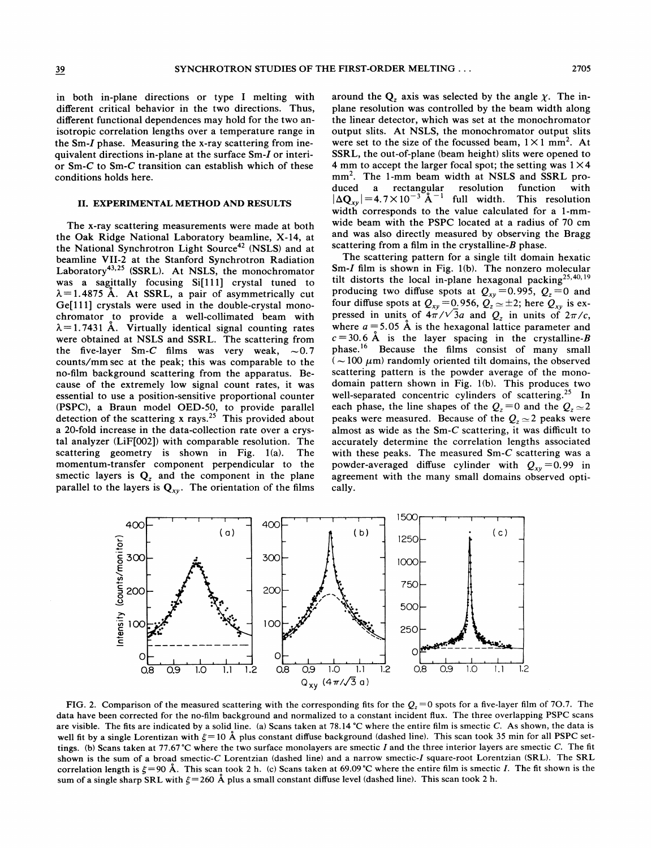in both in-plane directions or type I melting with different critical behavior in the two directions. Thus, different functional dependences may hold for the two anisotropic correlation lengths over a temperature range in the Sm-I phase. Measuring the x-ray scattering from inequivalent directions in-plane at the surface Sm-I or interior Sm-C to Sm-C transition can establish which of these conditions holds here.

#### II. EXPERIMENTAL METHOD AND RESULTS

The x-ray scattering measurements were made at both the Oak Ridge National Laboratory beamline, X-14, at the National Synchrotron Light Source<sup>42</sup> (NSLS) and at beamline VII-2 at the Stanford Synchrotron Radiation Laboratory<sup>43,25</sup> (SSRL). At NSLS, the monochromator was a sagittally focusing Si[111] crystal tuned to  $\lambda$ =1.4875 Å. At SSRL, a pair of asymmetrically cut  $Ge[111]$  crystals were used in the double-crystal monochromator to provide a well-collimated beam with  $\lambda$ =1.7431 Å. Virtually identical signal counting rates were obtained at NSLS and SSRL. The scattering from the five-layer Sm-C films was very weak,  $\sim 0.7$ counts/mmsec at the peak; this was comparable to the no-film background scattering from the apparatus. Because of the extremely low signal count rates, it was essential to use a position-sensitive proportional counter (PSPC), a Braun model OED-50, to provide paralle detection of the scattering x rays.<sup>25</sup> This provided about a 20-fold increase in the data-collection rate over a crystal analyzer (LiF[002]) with comparable resolution. The scattering geometry is shown in Fig. 1(a). The momentum-transfer component perpendicular to the smectic layers is  $Q_z$  and the component in the plane parallel to the layers is  $Q_{xy}$ . The orientation of the films around the  $Q_z$  axis was selected by the angle  $\chi$ . The inplane resolution was controlled by the beam width along the linear detector, which was set at the monochromator output slits. At NSLS, the monochromator output slits were set to the size of the focussed beam,  $1 \times 1$  mm<sup>2</sup>. At SSRL, the out-of-plane (beam height) slits were opened to 4 mm to accept the larger focal spot; the setting was  $1 \times 4$ mm<sup>2</sup>. The 1-mm beam width at NSLS and SSRL pro-<br>duced a rectangular resolution function with duced a rectangular resolution function with  $\Delta Q_{xy}$  = 4.7×10<sup>-3</sup> Å<sup>-1</sup> full width. This resolution width corresponds to the value calculated for a 1-mmwide beam with the PSPC located at a radius of 70 cm and was also directly measured by observing the Bragg scattering from a film in the crystalline- $B$  phase.

The scattering pattern for a single tilt domain hexatic Sm-I film is shown in Fig. 1(b). The nonzero molecular tilt distorts the local in-plane hexagonal packing<sup>25,40,19</sup> producing two diffuse spots at  $Q_{xy} = 0.995$ ,  $Q_z = 0$  and four diffuse spots at  $Q_{xy} = 0.956$ ,  $Q_z \approx \pm 2$ ; here  $Q_{xy}$  is expressed in units of  $4\pi/\sqrt{3}a$  and  $Q_z$  in units of  $2\pi/c$ , where  $a = 5.05$  Å is the hexagonal lattice parameter and  $c=30.6$  Å is the layer spacing in the crystalline-B phase.<sup>16</sup> Because the films consist of many small ( $\sim$ 100  $\mu$ m) randomly oriented tilt domains, the observed scattering pattern is the powder average of the monodomain pattern shown in Fig. 1(b). This produces two well-separated concentric cylinders of scattering.<sup>25</sup> In each phase, the line shapes of the  $Q_z = 0$  and the  $Q_z \approx 2$ peaks were measured. Because of the  $Q_z \approx 2$  peaks were almost as wide as the  $Sm-C$  scattering, it was difficult to accurately determine the correlation lengths associated with these peaks. The measured Sm-C scattering was a powder-averaged diffuse cylinder with  $Q_{xy} = 0.99$  in agreement with the many small domains observed optically.



FIG. 2. Comparison of the measured scattering with the corresponding fits for the  $Q_i = 0$  spots for a five-layer film of 70.7. The data have been corrected for the no-film background and normalized to a constant incident flux. The three overlapping PSPC scans are visible. The fits are indicated by a solid line. (a) Scans taken at 78.14 °C where the entire film is smectic C. As shown, the data is well fit by a single Lorentizan with  $\xi=10$  Å plus constant diffuse background (dashed line). This scan took 35 min for all PSPC settings. (b) Scans taken at 77.67 °C where the two surface monolayers are smectic I and the three interior layers are smectic C. The fit shown is the sum of a broad smectic-C Lorentzian (dashed line) and a narrow smectic-I square-root Lorentzian (SRL). The SRL correlation length is  $\xi = 90$  Å. This scan took 2 h. (c) Scans taken at 69.09 °C where the entire film is smectic I. The fit shown is the sum of a single sharp SRL with  $\xi$  = 260 Å plus a small constant diffuse level (dashed line). This scan took 2 h.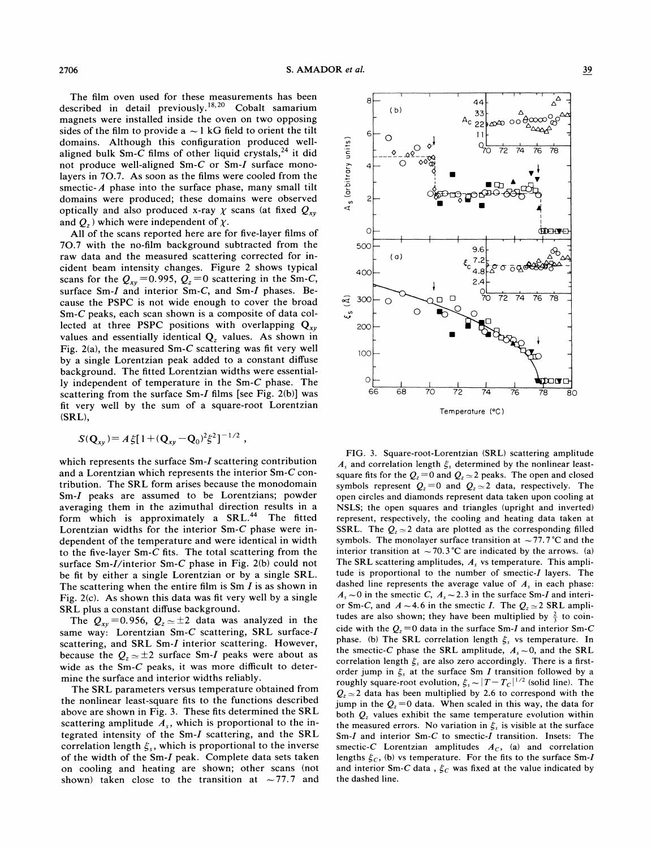The film oven used for these measurements has been described in detail previously.<sup>18,20</sup> Cobalt samariun magnets were installed inside the oven on two opposing sides of the film to provide a  $\sim$  1 kG field to orient the tilt domains. Although this configuration produced wellaligned bulk Sm-C films of other liquid crystals,  $24$  it did not produce well-aligned Sm-C or Sm-I surface monolayers in 70.7. As soon as the films were cooled from the smectic- $A$  phase into the surface phase, many small tilt domains were produced; these domains were observed optically and also produced x-ray  $\chi$  scans (at fixed  $Q_{xy}$ ) and  $Q_z$ ) which were independent of  $\chi$ .

All of the scans reported here are for five-layer films of 70.7 with the no-film background subtracted from the raw data and the measured scattering corrected for incident beam intensity changes. Figure 2 shows typical scans for the  $Q_{xy} = 0.995$ ,  $Q_z = 0$  scattering in the Sm-C, surface Sm-I and interior Sm-C, and Sm-I phases. Because the PSPC is not wide enough to cover the broad Sm-C peaks, each scan shown is a composite of data collected at three PSPC positions with overlapping  $Q_{xy}$ values and essentially identical  $Q<sub>z</sub>$  values. As shown in Fig. 2(a), the measured Sm-C scattering was fit very well by a single Lorentzian peak added to a constant diffuse background. The fitted Lorentzian widths were essentially independent of temperature in the Sm-C phase. The scattering from the surface Sm-I films [see Fig. 2(b)] was fit very well by the sum of a square-root Lorentzian (SRL),

$$
S(\mathbf{Q}_{xy}) = A \xi [1 + (\mathbf{Q}_{xy} - \mathbf{Q}_0)^2 \xi^2]^{-1/2}
$$

which represents the surface Sm-I scattering contribution and a Lorentzian which represents the interior Sm-C contribution. The SRL form arises because the monodomain Sm-I peaks are assumed to be Lorentzians; powder averaging them in the azimuthal direction results in a form which is approximately a SRL.<sup>44</sup> The fitted Lorentzian widths for the interior Sm-C phase were independent of the temperature and were identical in width to the five-layer Sm-C fits. The total scattering from the surface Sm-I/interior Sm-C phase in Fig. 2(b) could not be fit by either a single Lorentzian or by a single SRL. The scattering when the entire film is  $Sm I$  is as shown in Fig. 2(c). As shown this data was fit very well by a single SRL plus a constant diffuse background.

The  $Q_{xy} = 0.956$ ,  $Q_z \approx \pm 2$  data was analyzed in the same way: Lorentzian Sm-C scattering, SRL surface-I scattering, and SRL Sm-I interior scattering. However, because the  $Q_z \approx \pm 2$  surface Sm-I peaks were about as wide as the Sm- $C$  peaks, it was more difficult to determine the surface and interior widths reliably.

The SRL parameters versus temperature obtained from the nonlinear least-square fits to the functions described above are shown in Fig. 3. These fits determined the SRL scattering amplitude  $A_s$ , which is proportional to the integrated intensity of the Sm-I scattering, and the SRL correlation length  $\xi_s$ , which is proportional to the inverse of the width of the Sm-I peak. Complete data sets taken on cooling and heating are shown; other scans (not shown) taken close to the transition at  $\sim$ 77.7 and

FIG. 3. Square-root-Lorentzian (SRL) scattering amplitude  $A_s$  and correlation length  $\xi_s$  determined by the nonlinear leastsquare fits for the  $Q_z = 0$  and  $Q_z \approx 2$  peaks. The open and closed symbols represent  $Q_z = 0$  and  $Q_z \approx 2$  data, respectively. The open circles and diamonds represent data taken upon cooling at NSLS; the open squares and triangles (upright and inverted) represent, respectively, the cooling and heating data taken at SSRL. The  $Q_{\text{z}} \approx 2$  data are plotted as the corresponding filled symbols. The monolayer surface transition at  $\sim$  77.7 °C and the interior transition at  $\sim$  70.3 °C are indicated by the arrows. (a) The SRL scattering amplitudes,  $A<sub>s</sub>$  vs temperature. This amplitude is proportional to the number of smectic-I layers. The dashed line represents the average value of  $A<sub>s</sub>$  in each phase:  $A_s \sim 0$  in the smectic C,  $A_s \sim 2.3$  in the surface Sm-I and interior Sm-C, and  $A \sim 4.6$  in the smectic I. The  $Q_z \sim 2$  SRL amplitudes are also shown; they have been multiplied by  $\frac{2}{3}$  to coincide with the  $Q<sub>z</sub>=0$  data in the surface Sm-I and interior Sm-C phase. (b) The SRL correlation length  $\xi_s$  vs temperature. In the smectic-C phase the SRL amplitude,  $A<sub>s</sub> \sim 0$ , and the SRL correlation length  $\xi_s$  are also zero accordingly. There is a firstorder jump in  $\xi_s$  at the surface Sm I transition followed by a roughly square-root evolution,  $\xi_s \sim |T - T_c|^{1/2}$  (solid line). The  $Q<sub>z</sub> \approx 2$  data has been multiplied by 2.6 to correspond with the jump in the  $Q_z = 0$  data. When scaled in this way, the data for both  $Q<sub>z</sub>$  values exhibit the same temperature evolution within the measured errors. No variation in  $\xi_s$  is visible at the surface Sm-I and interior Sm-C to smectic-I transition. Insets: The smectic-C Lorentzian amplitudes  $A_C$ , (a) and correlation lengths  $\xi_c$ , (b) vs temperature. For the fits to the surface Sm-I and interior Sm-C data,  $\xi_c$  was fixed at the value indicated by

the dashed line.



Temperature (°C)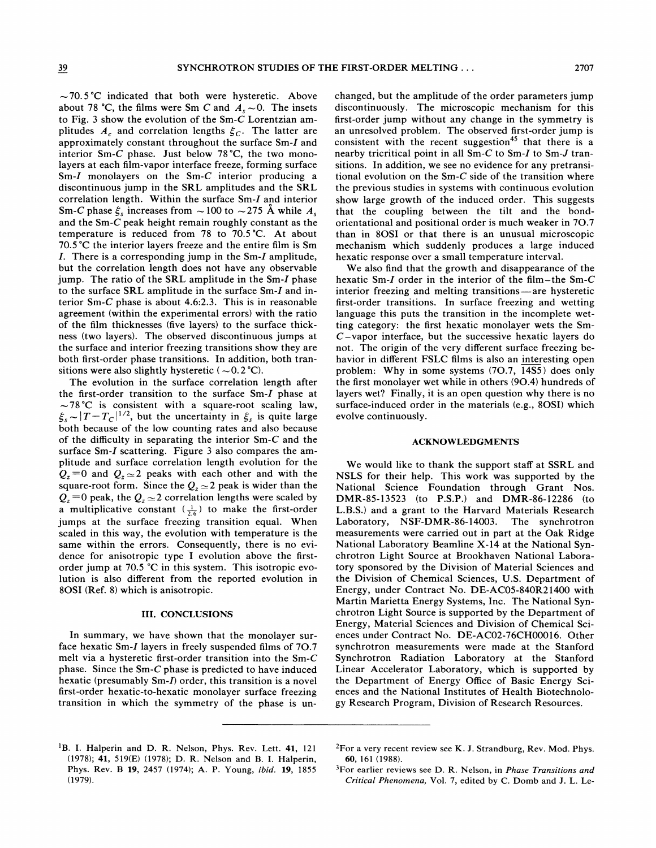$\sim$  70.5 °C indicated that both were hysteretic. Above about 78 °C, the films were Sm C and  $A<sub>s</sub> \sim 0$ . The insets to Fig. 3 show the evolution of the Sm- $\overline{C}$  Lorentzian amplitudes  $A_c$  and correlation lengths  $\xi_c$ . The latter are approximately constant throughout the surface Sm-I and interior Sm-C phase. Just below 78'C, the two monolayers at each film-vapor interface freeze, forming surface Sm-I monolayers on the Sm-C interior producing a discontinuous jump in the SRL amplitudes and the SRL correlation length. Within the surface Sm-I and interior Sm-C phase  $\xi_s$  increases from  $\sim$  100 to  $\sim$  275 Å while  $A_s$ and the Sm-C peak height remain roughly constant as the temperature is reduced from 78 to 70.5'C. At about 70.5 °C the interior layers freeze and the entire film is Sm I. There is <sup>a</sup> corresponding jurnp in the Sm-I amplitude, but the correlation length does not have any observable jump. The ratio of the SRL amplitude in the Sm-I phase to the surface SRL amplitude in the surface Sm-I and interior Sm-C phase is about 4.6:2.3. This is in reasonable agreement (within the experimental errors) with the ratio of the film thicknesses (five layers) to the surface thickness (two layers). The observed discontinuous jumps at the surface and interior freezing transitions show they are both first-order phase transitions. In addition, both transitions were also slightly hysteretic ( $\sim 0.2$  °C).

The evolution in the surface correlation length after the first-order transition to the surface Sm-I phase at  $\sim 78^{\circ}$ C is consistent with a square-root scaling law,  $\xi_s \sim |T - T_c|^{1/2}$ , but the uncertainty in  $\xi_s$  is quite large both because of the low counting rates and also because of the difficulty in separating the interior  $Sm-C$  and the surface Sm-I scattering. Figure 3 also compares the amplitude and surface correlation length evolution for the  $Q_z = 0$  and  $Q_z \approx 2$  peaks with each other and with the square-root form. Since the  $Q_z \approx 2$  peak is wider than the  $Q_z = 0$  peak, the  $Q_z \approx 2$  correlation lengths were scaled by a multiplicative constant  $(\frac{1}{2.6})$  to make the first-order jumps at the surface freezing transition equal. When scaled in this way, the evolution with temperature is the same within the errors. Consequently, there is no evidence for anisotropic type I evolution above the firstorder jump at 70.5  $\degree$ C in this system. This isotropic evolution is also different from the reported evolution in 8OSI (Ref. 8) which is anisotropic.

### III. CONCLUSIONS

In summary, we have shown that the monolayer surface hexatic Sm-I layers in freely suspended films of 70.7 melt via a hysteretic first-order transition into the Sm-C phase. Since the Sm-C phase is predicted to have induced hexatic (presumably Sm-I) order, this transition is a novel first-order hexatic-to-hexatic monolayer surface freezing transition in which the symmetry of the phase is unchanged, but the amplitude of the order parameters jump discontinuously. The microscopic mechanism for this first-order jump without any change in the symmetry is an unresolved problem. The observed first-order jump is consistent with the recent suggestion<sup>45</sup> that there is a nearby tricritical point in all Sm-C to Sm-I to Sm-J transitions. In addition, we see no evidence for any pretransitional evolution on the Sm-C side of the transition where the previous studies in systems with continuous evolution show large growth of the induced order. This suggests that the coupling between the tilt and the bondorientational and positional order is much weaker in 70.7 than in 8OSI or that there is an unusual microscopic mechanism which suddenly produces a large induced hexatic response over a small temperature interval.

We also find that the growth and disappearance of the hexatic Sm-I order in the interior of the film-the Sm-C interior freezing and melting transitions —are hysteretic first-order transitions. In surface freezing and wetting language this puts the transition in the incomplete wetting category: the first hexatic monolayer wets the Sm- $C$ -vapor interface, but the successive hexatic layers do not. The origin of the very different surface freezing behavior in different FSLC films is also an interesting open problem: Why in some systems (70.7, 14SS) does only the first monolayer wet while in others (90.4) hundreds of layers wet? Finally, it is an open question why there is no surface-induced order in the materials (e.g., 8OSl) which evolve continuously.

#### ACKNOWLEDGMENTS

We would like to thank the support staff at SSRL and NSLS for their help. This work was supported by the National Science Foundation through Grant Nos. DMR-85-13523 (to P.S.P.) and DMR-86-12286 (to L.B.S.) and a grant to the Harvard Materials Research Laboratory, NSF-DMR-86-14003. The synchrotron measurements were carried out in part at the Oak Ridge National Laboratory Beamline X-14 at the National Synchrotron Light Source at Brookhaven National Laboratory sponsored by the Division of Material Sciences and the Division of Chemical Sciences, U.S. Department of Energy, under Contract No. DE-AC05-840R21400 with Martin Marietta Energy Systems, Inc. The National Synchrotron Light Source is supported by the Department of Energy, Material Sciences and Division of Chemical Sciences under Contract No. DE-AC02-76CH00016. Other synchrotron measurements were made at the Stanford Synchrotron Radiation Laboratory at the Stanford Linear Accelerator Laboratory, which is supported by the Department of Energy Office of Basic Energy Sciences and the National Institutes of Health Biotechnology Research Program, Division of Research Resources.

<sup>&</sup>lt;sup>1</sup>B. I. Halperin and D. R. Nelson, Phys. Rev. Lett. 41, 121 (1978); 41, 519(E) (1978); D. R. Nelson and B. I. Halperin, Phys. Rev. B 19, 2457 (1974); A. P. Young, ibid. 19, 1855 (1979).

 ${}^{2}$ For a very recent review see K. J. Strandburg, Rev. Mod. Phys. 60, 161 (1988).

 ${}^{3}$ For earlier reviews see D. R. Nelson, in *Phase Transitions and* Critical Phenomena, Vol. 7, edited by C. Domb and J. L. Le-